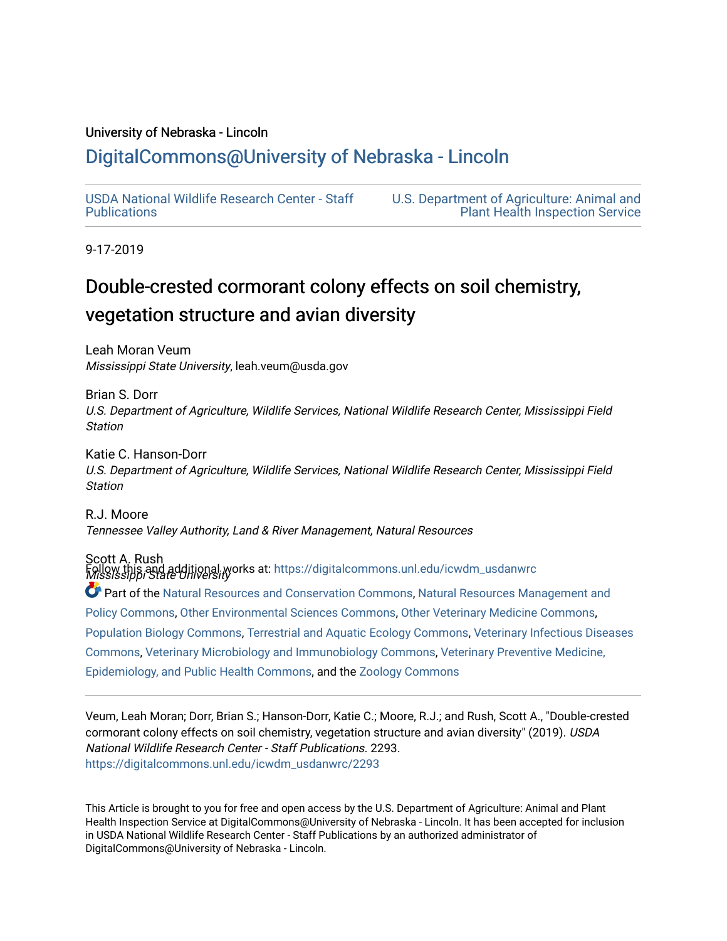# University of Nebraska - Lincoln

# [DigitalCommons@University of Nebraska - Lincoln](https://digitalcommons.unl.edu/)

[USDA National Wildlife Research Center - Staff](https://digitalcommons.unl.edu/icwdm_usdanwrc)  [Publications](https://digitalcommons.unl.edu/icwdm_usdanwrc) 

[U.S. Department of Agriculture: Animal and](https://digitalcommons.unl.edu/usdaaphis)  [Plant Health Inspection Service](https://digitalcommons.unl.edu/usdaaphis) 

9-17-2019

# Double-crested cormorant colony effects on soil chemistry, vegetation structure and avian diversity

Leah Moran Veum Mississippi State University, leah.veum@usda.gov

Brian S. Dorr U.S. Department of Agriculture, Wildlife Services, National Wildlife Research Center, Mississippi Field **Station** 

Katie C. Hanson-Dorr U.S. Department of Agriculture, Wildlife Services, National Wildlife Research Center, Mississippi Field **Station** 

R.J. Moore Tennessee Valley Authority, Land & River Management, Natural Resources

Scott A. Rush Follow this and additional works at: [https://digitalcommons.unl.edu/icwdm\\_usdanwrc](https://digitalcommons.unl.edu/icwdm_usdanwrc?utm_source=digitalcommons.unl.edu%2Ficwdm_usdanwrc%2F2293&utm_medium=PDF&utm_campaign=PDFCoverPages)<br>Mississippi State University Part of the [Natural Resources and Conservation Commons,](http://network.bepress.com/hgg/discipline/168?utm_source=digitalcommons.unl.edu%2Ficwdm_usdanwrc%2F2293&utm_medium=PDF&utm_campaign=PDFCoverPages) [Natural Resources Management and](http://network.bepress.com/hgg/discipline/170?utm_source=digitalcommons.unl.edu%2Ficwdm_usdanwrc%2F2293&utm_medium=PDF&utm_campaign=PDFCoverPages) [Policy Commons](http://network.bepress.com/hgg/discipline/170?utm_source=digitalcommons.unl.edu%2Ficwdm_usdanwrc%2F2293&utm_medium=PDF&utm_campaign=PDFCoverPages), [Other Environmental Sciences Commons](http://network.bepress.com/hgg/discipline/173?utm_source=digitalcommons.unl.edu%2Ficwdm_usdanwrc%2F2293&utm_medium=PDF&utm_campaign=PDFCoverPages), [Other Veterinary Medicine Commons](http://network.bepress.com/hgg/discipline/771?utm_source=digitalcommons.unl.edu%2Ficwdm_usdanwrc%2F2293&utm_medium=PDF&utm_campaign=PDFCoverPages), [Population Biology Commons,](http://network.bepress.com/hgg/discipline/19?utm_source=digitalcommons.unl.edu%2Ficwdm_usdanwrc%2F2293&utm_medium=PDF&utm_campaign=PDFCoverPages) [Terrestrial and Aquatic Ecology Commons,](http://network.bepress.com/hgg/discipline/20?utm_source=digitalcommons.unl.edu%2Ficwdm_usdanwrc%2F2293&utm_medium=PDF&utm_campaign=PDFCoverPages) [Veterinary Infectious Diseases](http://network.bepress.com/hgg/discipline/770?utm_source=digitalcommons.unl.edu%2Ficwdm_usdanwrc%2F2293&utm_medium=PDF&utm_campaign=PDFCoverPages)  [Commons](http://network.bepress.com/hgg/discipline/770?utm_source=digitalcommons.unl.edu%2Ficwdm_usdanwrc%2F2293&utm_medium=PDF&utm_campaign=PDFCoverPages), [Veterinary Microbiology and Immunobiology Commons,](http://network.bepress.com/hgg/discipline/763?utm_source=digitalcommons.unl.edu%2Ficwdm_usdanwrc%2F2293&utm_medium=PDF&utm_campaign=PDFCoverPages) [Veterinary Preventive Medicine,](http://network.bepress.com/hgg/discipline/769?utm_source=digitalcommons.unl.edu%2Ficwdm_usdanwrc%2F2293&utm_medium=PDF&utm_campaign=PDFCoverPages)  [Epidemiology, and Public Health Commons,](http://network.bepress.com/hgg/discipline/769?utm_source=digitalcommons.unl.edu%2Ficwdm_usdanwrc%2F2293&utm_medium=PDF&utm_campaign=PDFCoverPages) and the [Zoology Commons](http://network.bepress.com/hgg/discipline/81?utm_source=digitalcommons.unl.edu%2Ficwdm_usdanwrc%2F2293&utm_medium=PDF&utm_campaign=PDFCoverPages)

Veum, Leah Moran; Dorr, Brian S.; Hanson-Dorr, Katie C.; Moore, R.J.; and Rush, Scott A., "Double-crested cormorant colony effects on soil chemistry, vegetation structure and avian diversity" (2019). USDA National Wildlife Research Center - Staff Publications. 2293. [https://digitalcommons.unl.edu/icwdm\\_usdanwrc/2293](https://digitalcommons.unl.edu/icwdm_usdanwrc/2293?utm_source=digitalcommons.unl.edu%2Ficwdm_usdanwrc%2F2293&utm_medium=PDF&utm_campaign=PDFCoverPages) 

This Article is brought to you for free and open access by the U.S. Department of Agriculture: Animal and Plant Health Inspection Service at DigitalCommons@University of Nebraska - Lincoln. It has been accepted for inclusion in USDA National Wildlife Research Center - Staff Publications by an authorized administrator of DigitalCommons@University of Nebraska - Lincoln.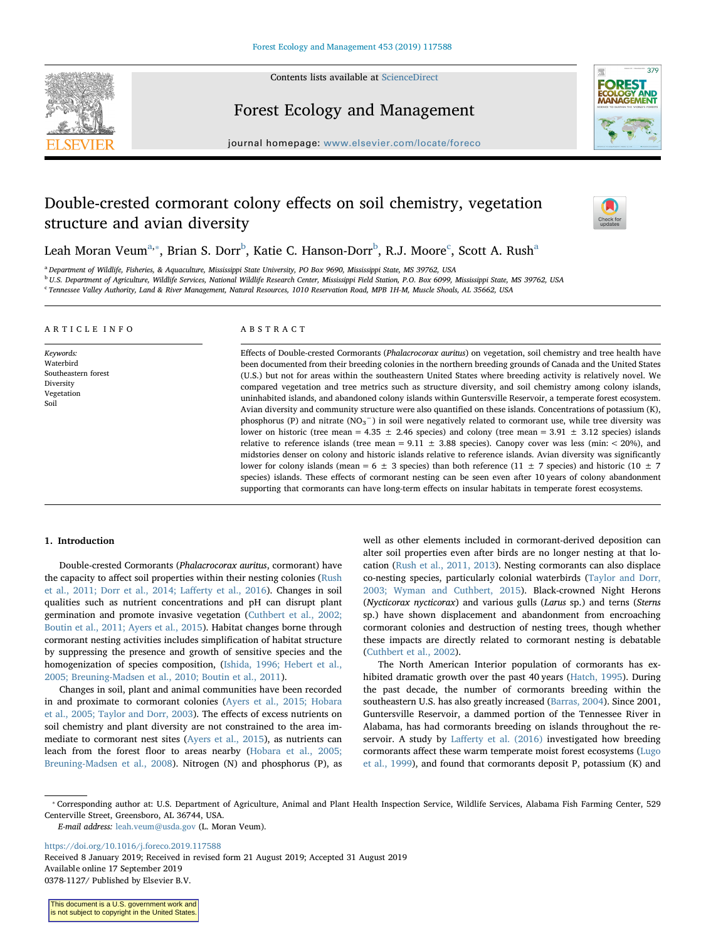

Contents lists available at [ScienceDirect](http://www.sciencedirect.com/science/journal/03781127)

# Forest Ecology and Management



journal homepage: [www.elsevier.com/locate/foreco](https://www.elsevier.com/locate/foreco)

# Double-crested cormorant colony effects on soil chemistry, vegetation structure and avian diversity



Le[a](#page-1-0)h Moran Veum $^{\rm a, *},$  $^{\rm a, *},$  $^{\rm a, *},$  Brian S. Dorr $^{\rm b}$  $^{\rm b}$  $^{\rm b}$ , Katie C. Hanson-Dorr $^{\rm b}$ , R.J. Moore $^{\rm c}$  $^{\rm c}$  $^{\rm c}$ , Scott A. Rush $^{\rm a}$ 

<span id="page-1-0"></span><sup>a</sup> Department of Wildlife, Fisheries, & Aquaculture, Mississippi State University, PO Box 9690, Mississippi State, MS 39762, USA

<span id="page-1-2"></span><sup>b</sup> U.S. Department of Agriculture, Wildlife Services, National Wildlife Research Center, Mississippi Field Station, P.O. Box 6099, Mississippi State, MS 39762, USA

<span id="page-1-3"></span><sup>c</sup> Tennessee Valley Authority, Land & River Management, Natural Resources, 1010 Reservation Road, MPB 1H-M, Muscle Shoals, AL 35662, USA

# ARTICLE INFO

Keywords: Waterbird Southeastern forest Diversity Vegetation Soil

# ABSTRACT

Effects of Double-crested Cormorants (Phalacrocorax auritus) on vegetation, soil chemistry and tree health have been documented from their breeding colonies in the northern breeding grounds of Canada and the United States (U.S.) but not for areas within the southeastern United States where breeding activity is relatively novel. We compared vegetation and tree metrics such as structure diversity, and soil chemistry among colony islands, uninhabited islands, and abandoned colony islands within Guntersville Reservoir, a temperate forest ecosystem. Avian diversity and community structure were also quantified on these islands. Concentrations of potassium (K), phosphorus (P) and nitrate  $(NO<sub>3</sub><sup>-</sup>)$  in soil were negatively related to cormorant use, while tree diversity was lower on historic (tree mean = 4.35  $\pm$  2.46 species) and colony (tree mean = 3.91  $\pm$  3.12 species) islands relative to reference islands (tree mean = 9.11  $\pm$  3.88 species). Canopy cover was less (min: < 20%), and midstories denser on colony and historic islands relative to reference islands. Avian diversity was significantly lower for colony islands (mean =  $6 \pm 3$  species) than both reference (11  $\pm$  7 species) and historic (10  $\pm$  7 species) islands. These effects of cormorant nesting can be seen even after 10 years of colony abandonment supporting that cormorants can have long-term effects on insular habitats in temperate forest ecosystems.

## 1. Introduction

Double-crested Cormorants (Phalacrocorax auritus, cormorant) have the capacity to affect soil properties within their nesting colonies [\(Rush](#page-8-0) [et al., 2011; Dorr et al., 2014; La](#page-8-0)fferty et al., 2016). Changes in soil qualities such as nutrient concentrations and pH can disrupt plant germination and promote invasive vegetation ([Cuthbert et al., 2002;](#page-8-1) [Boutin et al., 2011; Ayers et al., 2015\)](#page-8-1). Habitat changes borne through cormorant nesting activities includes simplification of habitat structure by suppressing the presence and growth of sensitive species and the homogenization of species composition, ([Ishida, 1996; Hebert et al.,](#page-8-2) [2005; Breuning-Madsen et al., 2010; Boutin et al., 2011](#page-8-2)).

Changes in soil, plant and animal communities have been recorded in and proximate to cormorant colonies ([Ayers et al., 2015; Hobara](#page-7-0) [et al., 2005; Taylor and Dorr, 2003\)](#page-7-0). The effects of excess nutrients on soil chemistry and plant diversity are not constrained to the area immediate to cormorant nest sites [\(Ayers et al., 2015\)](#page-7-0), as nutrients can leach from the forest floor to areas nearby ([Hobara et al., 2005;](#page-8-3) [Breuning-Madsen et al., 2008](#page-8-3)). Nitrogen (N) and phosphorus (P), as well as other elements included in cormorant-derived deposition can alter soil properties even after birds are no longer nesting at that location [\(Rush et al., 2011, 2013\)](#page-8-0). Nesting cormorants can also displace co-nesting species, particularly colonial waterbirds ([Taylor and Dorr,](#page-8-4) [2003; Wyman and Cuthbert, 2015\)](#page-8-4). Black-crowned Night Herons (Nycticorax nycticorax) and various gulls (Larus sp.) and terns (Sterns sp.) have shown displacement and abandonment from encroaching cormorant colonies and destruction of nesting trees, though whether these impacts are directly related to cormorant nesting is debatable ([Cuthbert et al., 2002\)](#page-8-1).

The North American Interior population of cormorants has exhibited dramatic growth over the past 40 years [\(Hatch, 1995](#page-8-5)). During the past decade, the number of cormorants breeding within the southeastern U.S. has also greatly increased ([Barras, 2004](#page-7-1)). Since 2001, Guntersville Reservoir, a dammed portion of the Tennessee River in Alabama, has had cormorants breeding on islands throughout the reservoir. A study by Laff[erty et al. \(2016\)](#page-8-6) investigated how breeding cormorants affect these warm temperate moist forest ecosystems [\(Lugo](#page-8-7) [et al., 1999\)](#page-8-7), and found that cormorants deposit P, potassium (K) and

<https://doi.org/10.1016/j.foreco.2019.117588>

Received 8 January 2019; Received in revised form 21 August 2019; Accepted 31 August 2019 Available online 17 September 2019 0378-1127/ Published by Elsevier B.V.

<span id="page-1-1"></span><sup>⁎</sup> Corresponding author at: U.S. Department of Agriculture, Animal and Plant Health Inspection Service, Wildlife Services, Alabama Fish Farming Center, 529 Centerville Street, Greensboro, AL 36744, USA.

E-mail address: [leah.veum@usda.gov](mailto:leah.veum@usda.gov) (L. Moran Veum).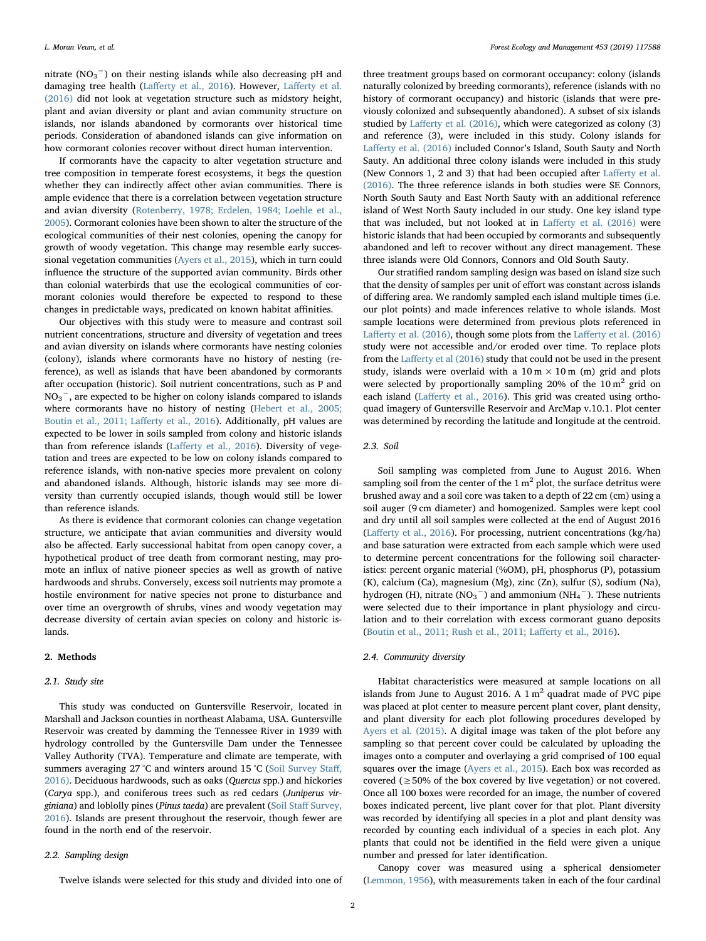nitrate ( $NO<sub>3</sub><sup>-</sup>$ ) on their nesting islands while also decreasing pH and damaging tree health (Laff[erty et al., 2016\)](#page-8-6). However, Laff[erty et al.](#page-8-6) [\(2016\)](#page-8-6) did not look at vegetation structure such as midstory height, plant and avian diversity or plant and avian community structure on islands, nor islands abandoned by cormorants over historical time periods. Consideration of abandoned islands can give information on how cormorant colonies recover without direct human intervention.

If cormorants have the capacity to alter vegetation structure and tree composition in temperate forest ecosystems, it begs the question whether they can indirectly affect other avian communities. There is ample evidence that there is a correlation between vegetation structure and avian diversity ([Rotenberry, 1978; Erdelen, 1984; Loehle et al.,](#page-8-8) [2005\)](#page-8-8). Cormorant colonies have been shown to alter the structure of the ecological communities of their nest colonies, opening the canopy for growth of woody vegetation. This change may resemble early successional vegetation communities [\(Ayers et al., 2015\)](#page-7-0), which in turn could influence the structure of the supported avian community. Birds other than colonial waterbirds that use the ecological communities of cormorant colonies would therefore be expected to respond to these changes in predictable ways, predicated on known habitat affinities.

Our objectives with this study were to measure and contrast soil nutrient concentrations, structure and diversity of vegetation and trees and avian diversity on islands where cormorants have nesting colonies (colony), islands where cormorants have no history of nesting (reference), as well as islands that have been abandoned by cormorants after occupation (historic). Soil nutrient concentrations, such as P and  $NO<sub>3</sub><sup>-</sup>$ , are expected to be higher on colony islands compared to islands where cormorants have no history of nesting [\(Hebert et al., 2005;](#page-8-9) [Boutin et al., 2011; La](#page-8-9)fferty et al., 2016). Additionally, pH values are expected to be lower in soils sampled from colony and historic islands than from reference islands (Laff[erty et al., 2016](#page-8-6)). Diversity of vegetation and trees are expected to be low on colony islands compared to reference islands, with non-native species more prevalent on colony and abandoned islands. Although, historic islands may see more diversity than currently occupied islands, though would still be lower than reference islands.

As there is evidence that cormorant colonies can change vegetation structure, we anticipate that avian communities and diversity would also be affected. Early successional habitat from open canopy cover, a hypothetical product of tree death from cormorant nesting, may promote an influx of native pioneer species as well as growth of native hardwoods and shrubs. Conversely, excess soil nutrients may promote a hostile environment for native species not prone to disturbance and over time an overgrowth of shrubs, vines and woody vegetation may decrease diversity of certain avian species on colony and historic islands.

#### 2. Methods

#### 2.1. Study site

This study was conducted on Guntersville Reservoir, located in Marshall and Jackson counties in northeast Alabama, USA. Guntersville Reservoir was created by damming the Tennessee River in 1939 with hydrology controlled by the Guntersville Dam under the Tennessee Valley Authority (TVA). Temperature and climate are temperate, with summers averaging 27 °C and winters around 15 °C [\(Soil Survey Sta](#page-8-10)ff, [2016\).](#page-8-10) Deciduous hardwoods, such as oaks (Quercus spp.) and hickories (Carya spp.), and coniferous trees such as red cedars (Juniperus virginiana) and loblolly pines (Pinus taeda) are prevalent (Soil Staff [Survey,](#page-8-10) [2016\)](#page-8-10). Islands are present throughout the reservoir, though fewer are found in the north end of the reservoir.

#### 2.2. Sampling design

Twelve islands were selected for this study and divided into one of

three treatment groups based on cormorant occupancy: colony (islands naturally colonized by breeding cormorants), reference (islands with no history of cormorant occupancy) and historic (islands that were previously colonized and subsequently abandoned). A subset of six islands studied by Laff[erty et al. \(2016\)](#page-8-6), which were categorized as colony (3) and reference (3), were included in this study. Colony islands for Laff[erty et al. \(2016\)](#page-8-6) included Connor's Island, South Sauty and North Sauty. An additional three colony islands were included in this study (New Connors 1, 2 and 3) that had been occupied after Laff[erty et al.](#page-8-6) [\(2016\).](#page-8-6) The three reference islands in both studies were SE Connors, North South Sauty and East North Sauty with an additional reference island of West North Sauty included in our study. One key island type that was included, but not looked at in Laff[erty et al. \(2016\)](#page-8-6) were historic islands that had been occupied by cormorants and subsequently abandoned and left to recover without any direct management. These three islands were Old Connors, Connors and Old South Sauty.

Our stratified random sampling design was based on island size such that the density of samples per unit of effort was constant across islands of differing area. We randomly sampled each island multiple times (i.e. our plot points) and made inferences relative to whole islands. Most sample locations were determined from previous plots referenced in Laff[erty et al. \(2016\)](#page-8-6), though some plots from the Laff[erty et al. \(2016\)](#page-8-6) study were not accessible and/or eroded over time. To replace plots from the Laff[erty et al \(2016\)](#page-8-6) study that could not be used in the present study, islands were overlaid with a  $10 \text{ m} \times 10 \text{ m}$  (m) grid and plots were selected by proportionally sampling  $20\%$  of the  $10 \text{ m}^2$  grid on each island (Laff[erty et al., 2016](#page-8-6)). This grid was created using orthoquad imagery of Guntersville Reservoir and ArcMap v.10.1. Plot center was determined by recording the latitude and longitude at the centroid.

# 2.3. Soil

Soil sampling was completed from June to August 2016. When sampling soil from the center of the  $1 \text{ m}^2$  plot, the surface detritus were brushed away and a soil core was taken to a depth of 22 cm (cm) using a soil auger (9 cm diameter) and homogenized. Samples were kept cool and dry until all soil samples were collected at the end of August 2016 (Laff[erty et al., 2016\)](#page-8-6). For processing, nutrient concentrations (kg/ha) and base saturation were extracted from each sample which were used to determine percent concentrations for the following soil characteristics: percent organic material (%OM), pH, phosphorus (P), potassium (K), calcium (Ca), magnesium (Mg), zinc (Zn), sulfur (S), sodium (Na), hydrogen (H), nitrate (NO<sub>3</sub><sup>-</sup>) and ammonium (NH<sub>4</sub><sup>-</sup>). These nutrients were selected due to their importance in plant physiology and circulation and to their correlation with excess cormorant guano deposits ([Boutin et al., 2011; Rush et al., 2011; La](#page-7-2)fferty et al., 2016).

#### 2.4. Community diversity

Habitat characteristics were measured at sample locations on all islands from June to August 2016. A  $1 \text{ m}^2$  quadrat made of PVC pipe was placed at plot center to measure percent plant cover, plant density, and plant diversity for each plot following procedures developed by [Ayers et al. \(2015\).](#page-7-0) A digital image was taken of the plot before any sampling so that percent cover could be calculated by uploading the images onto a computer and overlaying a grid comprised of 100 equal squares over the image ([Ayers et al., 2015\)](#page-7-0). Each box was recorded as covered (≥50% of the box covered by live vegetation) or not covered. Once all 100 boxes were recorded for an image, the number of covered boxes indicated percent, live plant cover for that plot. Plant diversity was recorded by identifying all species in a plot and plant density was recorded by counting each individual of a species in each plot. Any plants that could not be identified in the field were given a unique number and pressed for later identification.

Canopy cover was measured using a spherical densiometer ([Lemmon, 1956](#page-8-11)), with measurements taken in each of the four cardinal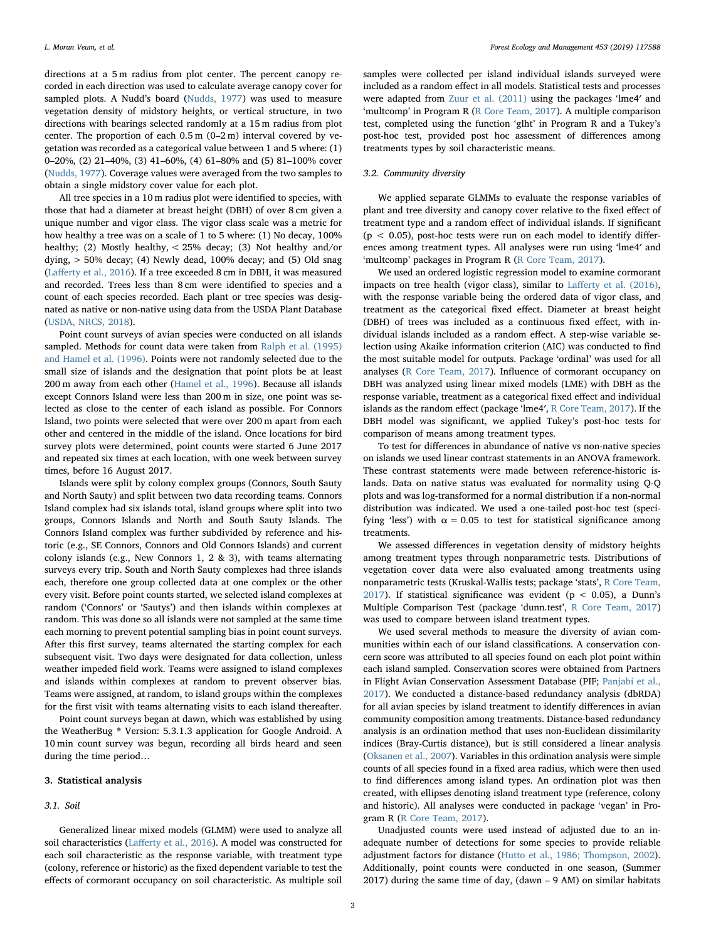directions at a 5 m radius from plot center. The percent canopy recorded in each direction was used to calculate average canopy cover for sampled plots. A Nudd's board [\(Nudds, 1977\)](#page-8-12) was used to measure vegetation density of midstory heights, or vertical structure, in two directions with bearings selected randomly at a 15 m radius from plot center. The proportion of each  $0.5$  m  $(0-2$  m) interval covered by vegetation was recorded as a categorical value between 1 and 5 where: (1) 0–20%, (2) 21–40%, (3) 41–60%, (4) 61–80% and (5) 81–100% cover ([Nudds, 1977](#page-8-12)). Coverage values were averaged from the two samples to obtain a single midstory cover value for each plot.

All tree species in a 10 m radius plot were identified to species, with those that had a diameter at breast height (DBH) of over 8 cm given a unique number and vigor class. The vigor class scale was a metric for how healthy a tree was on a scale of 1 to 5 where: (1) No decay, 100% healthy; (2) Mostly healthy, < 25% decay; (3) Not healthy and/or dying,  $>$  50% decay; (4) Newly dead, 100% decay; and (5) Old snag (Laff[erty et al., 2016](#page-8-6)). If a tree exceeded 8 cm in DBH, it was measured and recorded. Trees less than 8 cm were identified to species and a count of each species recorded. Each plant or tree species was designated as native or non-native using data from the USDA Plant Database ([USDA, NRCS, 2018](#page-8-13)).

Point count surveys of avian species were conducted on all islands sampled. Methods for count data were taken from [Ralph et al. \(1995\)](#page-8-14) [and Hamel et al. \(1996\).](#page-8-14) Points were not randomly selected due to the small size of islands and the designation that point plots be at least 200 m away from each other ([Hamel et al., 1996\)](#page-8-15). Because all islands except Connors Island were less than 200 m in size, one point was selected as close to the center of each island as possible. For Connors Island, two points were selected that were over 200 m apart from each other and centered in the middle of the island. Once locations for bird survey plots were determined, point counts were started 6 June 2017 and repeated six times at each location, with one week between survey times, before 16 August 2017.

Islands were split by colony complex groups (Connors, South Sauty and North Sauty) and split between two data recording teams. Connors Island complex had six islands total, island groups where split into two groups, Connors Islands and North and South Sauty Islands. The Connors Island complex was further subdivided by reference and historic (e.g., SE Connors, Connors and Old Connors Islands) and current colony islands (e.g., New Connors 1, 2 & 3), with teams alternating surveys every trip. South and North Sauty complexes had three islands each, therefore one group collected data at one complex or the other every visit. Before point counts started, we selected island complexes at random ('Connors' or 'Sautys') and then islands within complexes at random. This was done so all islands were not sampled at the same time each morning to prevent potential sampling bias in point count surveys. After this first survey, teams alternated the starting complex for each subsequent visit. Two days were designated for data collection, unless weather impeded field work. Teams were assigned to island complexes and islands within complexes at random to prevent observer bias. Teams were assigned, at random, to island groups within the complexes for the first visit with teams alternating visits to each island thereafter.

Point count surveys began at dawn, which was established by using the WeatherBug ® Version: 5.3.1.3 application for Google Android. A 10 min count survey was begun, recording all birds heard and seen during the time period…

## 3. Statistical analysis

# 3.1. Soil

Generalized linear mixed models (GLMM) were used to analyze all soil characteristics (Laff[erty et al., 2016](#page-8-6)). A model was constructed for each soil characteristic as the response variable, with treatment type (colony, reference or historic) as the fixed dependent variable to test the effects of cormorant occupancy on soil characteristic. As multiple soil

samples were collected per island individual islands surveyed were included as a random effect in all models. Statistical tests and processes were adapted from [Zuur et al. \(2011\)](#page-8-16) using the packages 'lme4′ and 'multcomp' in Program R [\(R Core Team, 2017](#page-8-17)). A multiple comparison test, completed using the function 'glht' in Program R and a Tukey's post-hoc test, provided post hoc assessment of differences among treatments types by soil characteristic means.

## 3.2. Community diversity

We applied separate GLMMs to evaluate the response variables of plant and tree diversity and canopy cover relative to the fixed effect of treatment type and a random effect of individual islands. If significant  $(p < 0.05)$ , post-hoc tests were run on each model to identify differences among treatment types. All analyses were run using 'lme4′ and 'multcomp' packages in Program R ([R Core Team, 2017\)](#page-8-17).

We used an ordered logistic regression model to examine cormorant impacts on tree health (vigor class), similar to Laff[erty et al. \(2016\)](#page-8-6), with the response variable being the ordered data of vigor class, and treatment as the categorical fixed effect. Diameter at breast height (DBH) of trees was included as a continuous fixed effect, with individual islands included as a random effect. A step-wise variable selection using Akaike information criterion (AIC) was conducted to find the most suitable model for outputs. Package 'ordinal' was used for all analyses [\(R Core Team, 2017\)](#page-8-17). Influence of cormorant occupancy on DBH was analyzed using linear mixed models (LME) with DBH as the response variable, treatment as a categorical fixed effect and individual islands as the random effect (package 'lme4′, [R Core Team, 2017](#page-8-17)). If the DBH model was significant, we applied Tukey's post-hoc tests for comparison of means among treatment types.

To test for differences in abundance of native vs non-native species on islands we used linear contrast statements in an ANOVA framework. These contrast statements were made between reference-historic islands. Data on native status was evaluated for normality using Q-Q plots and was log-transformed for a normal distribution if a non-normal distribution was indicated. We used a one-tailed post-hoc test (specifying 'less') with  $\alpha = 0.05$  to test for statistical significance among treatments.

We assessed differences in vegetation density of midstory heights among treatment types through nonparametric tests. Distributions of vegetation cover data were also evaluated among treatments using nonparametric tests (Kruskal-Wallis tests; package 'stats', [R Core Team,](#page-8-17) [2017\)](#page-8-17). If statistical significance was evident ( $p < 0.05$ ), a Dunn's Multiple Comparison Test (package 'dunn.test', [R Core Team, 2017\)](#page-8-17) was used to compare between island treatment types.

We used several methods to measure the diversity of avian communities within each of our island classifications. A conservation concern score was attributed to all species found on each plot point within each island sampled. Conservation scores were obtained from Partners in Flight Avian Conservation Assessment Database (PIF; [Panjabi et al.,](#page-8-18) [2017\)](#page-8-18). We conducted a distance-based redundancy analysis (dbRDA) for all avian species by island treatment to identify differences in avian community composition among treatments. Distance-based redundancy analysis is an ordination method that uses non-Euclidean dissimilarity indices (Bray-Curtis distance), but is still considered a linear analysis ([Oksanen et al., 2007](#page-8-19)). Variables in this ordination analysis were simple counts of all species found in a fixed area radius, which were then used to find differences among island types. An ordination plot was then created, with ellipses denoting island treatment type (reference, colony and historic). All analyses were conducted in package 'vegan' in Program R (R [Core Team, 2017](#page-8-17)).

Unadjusted counts were used instead of adjusted due to an inadequate number of detections for some species to provide reliable adjustment factors for distance [\(Hutto et al., 1986; Thompson, 2002](#page-8-20)). Additionally, point counts were conducted in one season, (Summer 2017) during the same time of day, (dawn – 9 AM) on similar habitats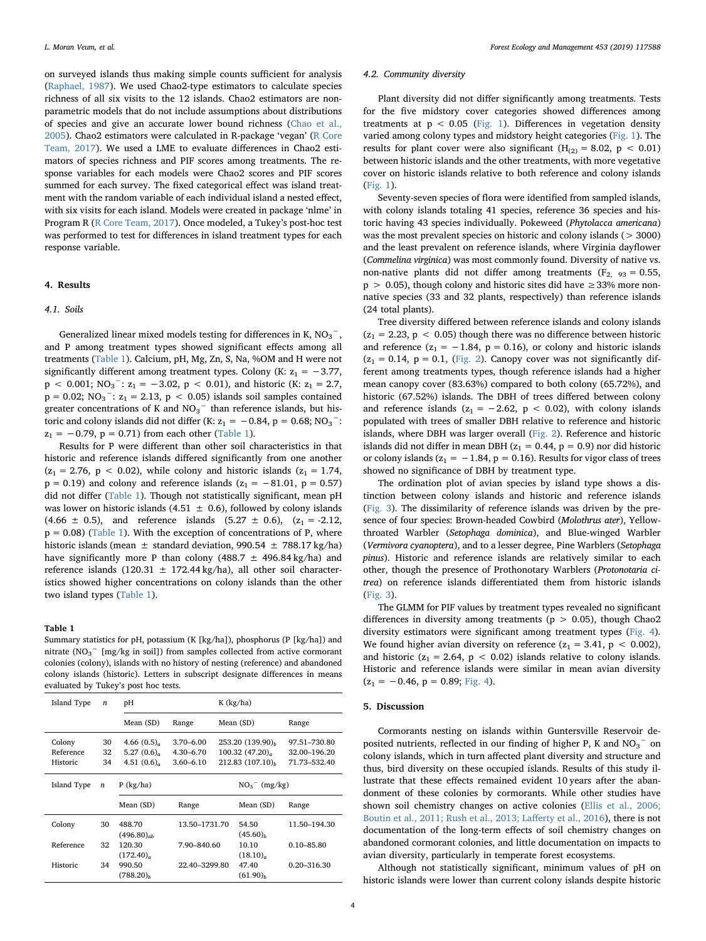on surveyed islands thus making simple counts sufficient for analysis ([Raphael, 1987\)](#page-8-21). We used Chao2-type estimators to calculate species richness of all six visits to the 12 islands. Chao2 estimators are nonparametric models that do not include assumptions about distributions of species and give an accurate lower bound richness [\(Chao et al.,](#page-8-22) [2005\)](#page-8-22). Chao2 estimators were calculated in R-package 'vegan' ([R Core](#page-8-17) [Team, 2017\)](#page-8-17). We used a LME to evaluate differences in Chao2 estimators of species richness and PIF scores among treatments. The response variables for each models were Chao2 scores and PIF scores summed for each survey. The fixed categorical effect was island treatment with the random variable of each individual island a nested effect, with six visits for each island. Models were created in package 'nlme' in Program R [\(R Core Team, 2017](#page-8-17)). Once modeled, a Tukey's post-hoc test was performed to test for differences in island treatment types for each response variable.

#### 4. Results

#### 4.1. Soils

Generalized linear mixed models testing for differences in K,  $NO<sub>3</sub><sup>-</sup>$ , and P among treatment types showed significant effects among all treatments [\(Table 1](#page-4-0)). Calcium, pH, Mg, Zn, S, Na, %OM and H were not significantly different among treatment types. Colony (K:  $z_1 = -3.77$ ,  $p < 0.001$ ; NO<sub>3</sub><sup>-</sup>:  $z_1 = -3.02$ ,  $p < 0.01$ ), and historic (K:  $z_1 = 2.7$ ,  $p = 0.02$ ; NO<sub>3</sub><sup>-</sup>:  $z_1 = 2.13$ ,  $p < 0.05$ ) islands soil samples contained greater concentrations of K and  $NO<sub>3</sub><sup>-</sup>$  than reference islands, but historic and colony islands did not differ (K:  $z_1 = -0.84$ ,  $p = 0.68$ ; NO<sub>3</sub><sup>-</sup>:  $z_1 = -0.79$ ,  $p = 0.71$ ) from each other ([Table 1\)](#page-4-0).

Results for P were different than other soil characteristics in that historic and reference islands differed significantly from one another  $(z_1 = 2.76, p < 0.02)$ , while colony and historic islands  $(z_1 = 1.74,$  $p = 0.19$ ) and colony and reference islands ( $z_1 = -81.01$ ,  $p = 0.57$ ) did not differ ([Table 1\)](#page-4-0). Though not statistically significant, mean pH was lower on historic islands (4.51  $\pm$  0.6), followed by colony islands  $(4.66 \pm 0.5)$ , and reference islands  $(5.27 \pm 0.6)$ ,  $(z_1 = -2.12)$ ,  $p = 0.08$ ) ([Table 1](#page-4-0)). With the exception of concentrations of P, where historic islands (mean  $\pm$  standard deviation, 990.54  $\pm$  788.17 kg/ha) have significantly more P than colony (488.7  $\pm$  496.84 kg/ha) and reference islands (120.31  $\pm$  172.44 kg/ha), all other soil characteristics showed higher concentrations on colony islands than the other two island types [\(Table 1](#page-4-0)).

#### <span id="page-4-0"></span>Table 1

Summary statistics for pH, potassium (K [kg/ha]), phosphorus (P [kg/ha]) and nitrate ( $NO<sub>3</sub><sup>-</sup>$  [mg/kg in soil]) from samples collected from active cormorant colonies (colony), islands with no history of nesting (reference) and abandoned colony islands (historic). Letters in subscript designate differences in means evaluated by Tukey's post hoc tests.

| Island Type | $\boldsymbol{n}$ | рH                                |                             | $K$ (kg/ha) |                                 |                |
|-------------|------------------|-----------------------------------|-----------------------------|-------------|---------------------------------|----------------|
|             |                  | Mean (SD)                         | Range                       | Mean (SD)   |                                 | Range          |
| Colony      | 30               | 4.66 $(0.5)_{a}$                  | $3.70 - 6.00$               |             | 253.20 (139.90) <sub>b</sub>    | 97.51-730.80   |
| Reference   | 32               | 5.27 $(0.6)$ <sub>a</sub>         | 4.30-6.70                   |             | 100.32 $(47.20)$ <sub>a</sub>   | 32.00-196.20   |
| Historic    | 34               | 4.51 $(0.6)$ <sub>a</sub>         | $3.60 - 6.10$               |             | $212.83(107.10)_{h}$            | 71.73–532.40   |
| Island Type | $\boldsymbol{n}$ | $P$ (kg/ha)                       | $NO_3$ <sup>-</sup> (mg/kg) |             |                                 |                |
|             |                  | Mean (SD)                         | Range                       |             | Mean (SD)                       | Range          |
| Colony      | 30               | 488.70<br>$(496.80)_{ab}$         | 13.50-1731.70               |             | 54.50<br>$(45.60)_{h}$          | 11.50-194.30   |
| Reference   | 32               | 120.30<br>$(172.40)$ <sub>a</sub> | 7.90-840.60                 |             | 10.10<br>$(18.10)$ <sub>a</sub> | $0.10 - 85.80$ |
| Historic    | 34               | 990.50<br>$(788.20)_{h}$          | 22.40-3299.80               |             | 47.40<br>$(61.90)_{h}$          | 0.20-316.30    |

#### 4.2. Community diversity

Plant diversity did not differ significantly among treatments. Tests for the five midstory cover categories showed differences among treatments at  $p < 0.05$  ([Fig. 1\)](#page-5-0). Differences in vegetation density varied among colony types and midstory height categories [\(Fig. 1\)](#page-5-0). The results for plant cover were also significant  $(H<sub>(2)</sub> = 8.02, p < 0.01)$ between historic islands and the other treatments, with more vegetative cover on historic islands relative to both reference and colony islands ([Fig. 1\)](#page-5-0).

Seventy-seven species of flora were identified from sampled islands, with colony islands totaling 41 species, reference 36 species and historic having 43 species individually. Pokeweed (Phytolacca americana) was the most prevalent species on historic and colony islands ( $>$  3000) and the least prevalent on reference islands, where Virginia dayflower (Commelina virginica) was most commonly found. Diversity of native vs. non-native plants did not differ among treatments ( $F_2$ ,  $g_3$  = 0.55,  $p > 0.05$ ), though colony and historic sites did have  $\geq 33\%$  more nonnative species (33 and 32 plants, respectively) than reference islands (24 total plants).

Tree diversity differed between reference islands and colony islands  $(z_1 = 2.23, p < 0.05)$  though there was no difference between historic and reference ( $z_1 = -1.84$ ,  $p = 0.16$ ), or colony and historic islands  $(z_1 = 0.14, p = 0.1,$  ([Fig. 2\)](#page-5-1). Canopy cover was not significantly different among treatments types, though reference islands had a higher mean canopy cover (83.63%) compared to both colony (65.72%), and historic (67.52%) islands. The DBH of trees differed between colony and reference islands ( $z_1 = -2.62$ ,  $p < 0.02$ ), with colony islands populated with trees of smaller DBH relative to reference and historic islands, where DBH was larger overall [\(Fig. 2\)](#page-5-1). Reference and historic islands did not differ in mean DBH ( $z_1 = 0.44$ ,  $p = 0.9$ ) nor did historic or colony islands ( $z_1 = -1.84$ ,  $p = 0.16$ ). Results for vigor class of trees showed no significance of DBH by treatment type.

The ordination plot of avian species by island type shows a distinction between colony islands and historic and reference islands ([Fig. 3](#page-6-0)). The dissimilarity of reference islands was driven by the presence of four species: Brown-headed Cowbird (Molothrus ater), Yellowthroated Warbler (Setophaga dominica), and Blue-winged Warbler (Vermivora cyanoptera), and to a lesser degree, Pine Warblers (Setophaga pinus). Historic and reference islands are relatively similar to each other, though the presence of Prothonotary Warblers (Protonotaria citrea) on reference islands differentiated them from historic islands ([Fig. 3\)](#page-6-0).

The GLMM for PIF values by treatment types revealed no significant differences in diversity among treatments ( $p > 0.05$ ), though Chao2 diversity estimators were significant among treatment types [\(Fig. 4](#page-6-1)). We found higher avian diversity on reference ( $z_1 = 3.41$ ,  $p < 0.002$ ), and historic ( $z_1 = 2.64$ ,  $p < 0.02$ ) islands relative to colony islands. Historic and reference islands were similar in mean avian diversity  $(z_1 = -0.46, p = 0.89; Fig. 4).$  $(z_1 = -0.46, p = 0.89; Fig. 4).$  $(z_1 = -0.46, p = 0.89; Fig. 4).$ 

#### 5. Discussion

Cormorants nesting on islands within Guntersville Reservoir deposited nutrients, reflected in our finding of higher P, K and  $NO<sub>3</sub><sup>-</sup>$  on colony islands, which in turn affected plant diversity and structure and thus, bird diversity on these occupied islands. Results of this study illustrate that these effects remained evident 10 years after the abandonment of these colonies by cormorants. While other studies have shown soil chemistry changes on active colonies [\(Ellis et al., 2006;](#page-8-23) [Boutin et al., 2011; Rush et al., 2013; La](#page-8-23)fferty et al., 2016), there is not documentation of the long-term effects of soil chemistry changes on abandoned cormorant colonies, and little documentation on impacts to avian diversity, particularly in temperate forest ecosystems.

Although not statistically significant, minimum values of pH on historic islands were lower than current colony islands despite historic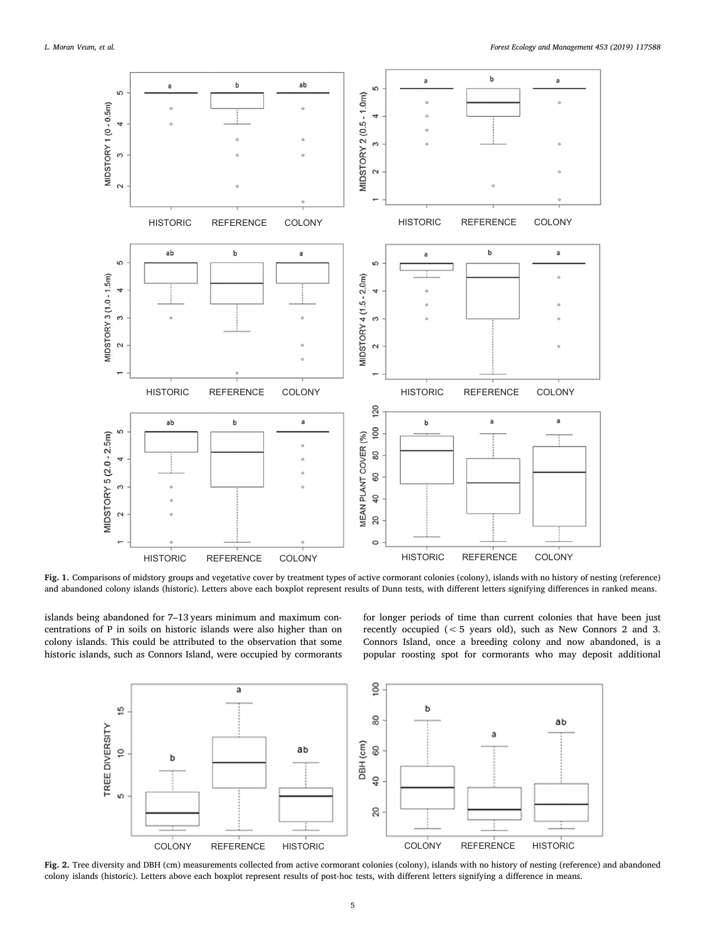<span id="page-5-0"></span>

Fig. 1. Comparisons of midstory groups and vegetative cover by treatment types of active cormorant colonies (colony), islands with no history of nesting (reference) and abandoned colony islands (historic). Letters above each boxplot represent results of Dunn tests, with different letters signifying differences in ranked means.

islands being abandoned for 7–13 years minimum and maximum concentrations of P in soils on historic islands were also higher than on colony islands. This could be attributed to the observation that some historic islands, such as Connors Island, were occupied by cormorants for longer periods of time than current colonies that have been just recently occupied (< 5 years old), such as New Connors 2 and 3. Connors Island, once a breeding colony and now abandoned, is a popular roosting spot for cormorants who may deposit additional

<span id="page-5-1"></span>

Fig. 2. Tree diversity and DBH (cm) measurements collected from active cormorant colonies (colony), islands with no history of nesting (reference) and abandoned colony islands (historic). Letters above each boxplot represent results of post-hoc tests, with different letters signifying a difference in means.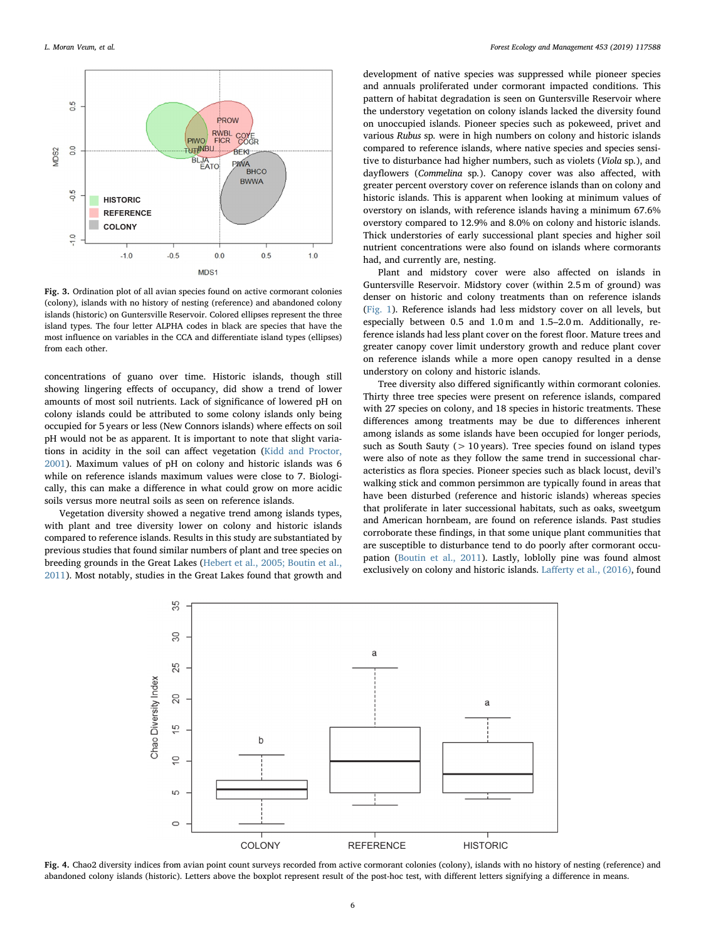<span id="page-6-0"></span>

Fig. 3. Ordination plot of all avian species found on active cormorant colonies (colony), islands with no history of nesting (reference) and abandoned colony islands (historic) on Guntersville Reservoir. Colored ellipses represent the three island types. The four letter ALPHA codes in black are species that have the most influence on variables in the CCA and differentiate island types (ellipses) from each other.

concentrations of guano over time. Historic islands, though still showing lingering effects of occupancy, did show a trend of lower amounts of most soil nutrients. Lack of significance of lowered pH on colony islands could be attributed to some colony islands only being occupied for 5 years or less (New Connors islands) where effects on soil pH would not be as apparent. It is important to note that slight variations in acidity in the soil can affect vegetation [\(Kidd and Proctor,](#page-8-24) [2001\)](#page-8-24). Maximum values of pH on colony and historic islands was 6 while on reference islands maximum values were close to 7. Biologically, this can make a difference in what could grow on more acidic soils versus more neutral soils as seen on reference islands.

<span id="page-6-1"></span>Vegetation diversity showed a negative trend among islands types, with plant and tree diversity lower on colony and historic islands compared to reference islands. Results in this study are substantiated by previous studies that found similar numbers of plant and tree species on breeding grounds in the Great Lakes ([Hebert et al., 2005; Boutin et al.,](#page-8-9) [2011\)](#page-8-9). Most notably, studies in the Great Lakes found that growth and development of native species was suppressed while pioneer species and annuals proliferated under cormorant impacted conditions. This pattern of habitat degradation is seen on Guntersville Reservoir where the understory vegetation on colony islands lacked the diversity found on unoccupied islands. Pioneer species such as pokeweed, privet and various Rubus sp. were in high numbers on colony and historic islands compared to reference islands, where native species and species sensitive to disturbance had higher numbers, such as violets (Viola sp.), and dayflowers (Commelina sp.). Canopy cover was also affected, with greater percent overstory cover on reference islands than on colony and historic islands. This is apparent when looking at minimum values of overstory on islands, with reference islands having a minimum 67.6% overstory compared to 12.9% and 8.0% on colony and historic islands. Thick understories of early successional plant species and higher soil nutrient concentrations were also found on islands where cormorants had, and currently are, nesting.

Plant and midstory cover were also affected on islands in Guntersville Reservoir. Midstory cover (within 2.5 m of ground) was denser on historic and colony treatments than on reference islands ([Fig. 1\)](#page-5-0). Reference islands had less midstory cover on all levels, but especially between 0.5 and 1.0 m and 1.5–2.0 m. Additionally, reference islands had less plant cover on the forest floor. Mature trees and greater canopy cover limit understory growth and reduce plant cover on reference islands while a more open canopy resulted in a dense understory on colony and historic islands.

Tree diversity also differed significantly within cormorant colonies. Thirty three tree species were present on reference islands, compared with 27 species on colony, and 18 species in historic treatments. These differences among treatments may be due to differences inherent among islands as some islands have been occupied for longer periods, such as South Sauty ( $> 10$  years). Tree species found on island types were also of note as they follow the same trend in successional characteristics as flora species. Pioneer species such as black locust, devil's walking stick and common persimmon are typically found in areas that have been disturbed (reference and historic islands) whereas species that proliferate in later successional habitats, such as oaks, sweetgum and American hornbeam, are found on reference islands. Past studies corroborate these findings, in that some unique plant communities that are susceptible to disturbance tend to do poorly after cormorant occupation [\(Boutin et al., 2011\)](#page-7-2). Lastly, loblolly pine was found almost exclusively on colony and historic islands. Laff[erty et al., \(2016\),](#page-8-6) found



Fig. 4. Chao2 diversity indices from avian point count surveys recorded from active cormorant colonies (colony), islands with no history of nesting (reference) and abandoned colony islands (historic). Letters above the boxplot represent result of the post-hoc test, with different letters signifying a difference in means.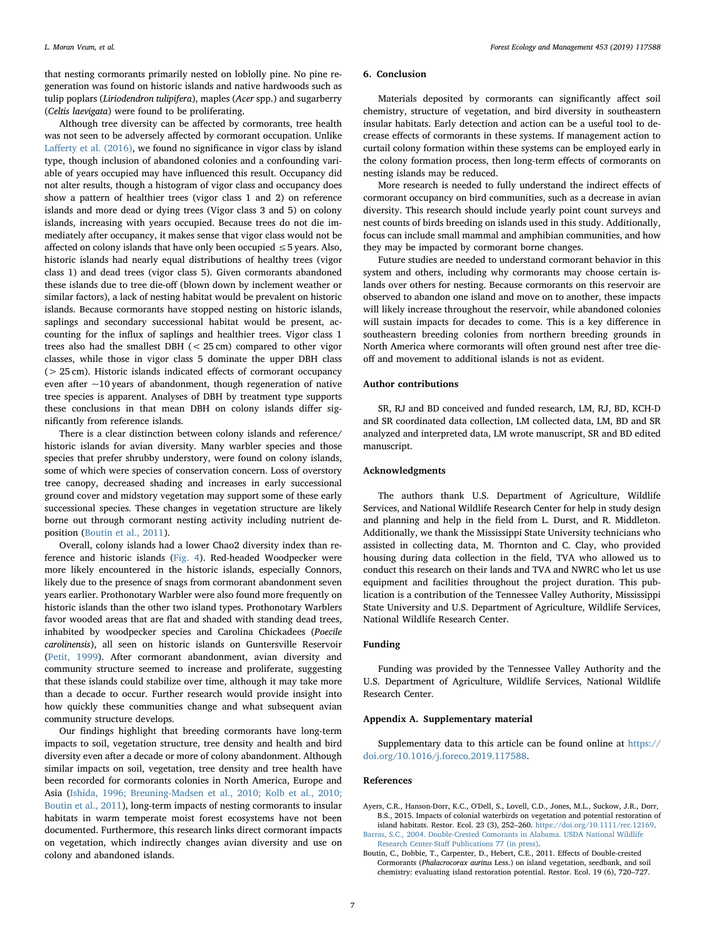that nesting cormorants primarily nested on loblolly pine. No pine regeneration was found on historic islands and native hardwoods such as tulip poplars (Liriodendron tulipifera), maples (Acer spp.) and sugarberry (Celtis laevigata) were found to be proliferating.

Although tree diversity can be affected by cormorants, tree health was not seen to be adversely affected by cormorant occupation. Unlike Laff[erty et al. \(2016\),](#page-8-6) we found no significance in vigor class by island type, though inclusion of abandoned colonies and a confounding variable of years occupied may have influenced this result. Occupancy did not alter results, though a histogram of vigor class and occupancy does show a pattern of healthier trees (vigor class 1 and 2) on reference islands and more dead or dying trees (Vigor class 3 and 5) on colony islands, increasing with years occupied. Because trees do not die immediately after occupancy, it makes sense that vigor class would not be affected on colony islands that have only been occupied  $\leq$  5 years. Also, historic islands had nearly equal distributions of healthy trees (vigor class 1) and dead trees (vigor class 5). Given cormorants abandoned these islands due to tree die-off (blown down by inclement weather or similar factors), a lack of nesting habitat would be prevalent on historic islands. Because cormorants have stopped nesting on historic islands, saplings and secondary successional habitat would be present, accounting for the influx of saplings and healthier trees. Vigor class 1 trees also had the smallest DBH (< 25 cm) compared to other vigor classes, while those in vigor class 5 dominate the upper DBH class (> 25 cm). Historic islands indicated effects of cormorant occupancy even after  $\sim$ 10 years of abandonment, though regeneration of native tree species is apparent. Analyses of DBH by treatment type supports these conclusions in that mean DBH on colony islands differ significantly from reference islands.

There is a clear distinction between colony islands and reference/ historic islands for avian diversity. Many warbler species and those species that prefer shrubby understory, were found on colony islands, some of which were species of conservation concern. Loss of overstory tree canopy, decreased shading and increases in early successional ground cover and midstory vegetation may support some of these early successional species. These changes in vegetation structure are likely borne out through cormorant nesting activity including nutrient deposition ([Boutin et al., 2011](#page-7-2)).

Overall, colony islands had a lower Chao2 diversity index than reference and historic islands ([Fig. 4](#page-6-1)). Red-headed Woodpecker were more likely encountered in the historic islands, especially Connors, likely due to the presence of snags from cormorant abandonment seven years earlier. Prothonotary Warbler were also found more frequently on historic islands than the other two island types. Prothonotary Warblers favor wooded areas that are flat and shaded with standing dead trees, inhabited by woodpecker species and Carolina Chickadees (Poecile carolinensis), all seen on historic islands on Guntersville Reservoir ([Petit, 1999\)](#page-8-25). After cormorant abandonment, avian diversity and community structure seemed to increase and proliferate, suggesting that these islands could stabilize over time, although it may take more than a decade to occur. Further research would provide insight into how quickly these communities change and what subsequent avian community structure develops.

Our findings highlight that breeding cormorants have long-term impacts to soil, vegetation structure, tree density and health and bird diversity even after a decade or more of colony abandonment. Although similar impacts on soil, vegetation, tree density and tree health have been recorded for cormorants colonies in North America, Europe and Asia [\(Ishida, 1996; Breuning-Madsen et al., 2010; Kolb et al., 2010;](#page-8-2) Boutin [et al., 2011\)](#page-8-2), long-term impacts of nesting cormorants to insular habitats in warm temperate moist forest ecosystems have not been documented. Furthermore, this research links direct cormorant impacts on vegetation, which indirectly changes avian diversity and use on colony and abandoned islands.

#### 6. Conclusion

Materials deposited by cormorants can significantly affect soil chemistry, structure of vegetation, and bird diversity in southeastern insular habitats. Early detection and action can be a useful tool to decrease effects of cormorants in these systems. If management action to curtail colony formation within these systems can be employed early in the colony formation process, then long-term effects of cormorants on nesting islands may be reduced.

More research is needed to fully understand the indirect effects of cormorant occupancy on bird communities, such as a decrease in avian diversity. This research should include yearly point count surveys and nest counts of birds breeding on islands used in this study. Additionally, focus can include small mammal and amphibian communities, and how they may be impacted by cormorant borne changes.

Future studies are needed to understand cormorant behavior in this system and others, including why cormorants may choose certain islands over others for nesting. Because cormorants on this reservoir are observed to abandon one island and move on to another, these impacts will likely increase throughout the reservoir, while abandoned colonies will sustain impacts for decades to come. This is a key difference in southeastern breeding colonies from northern breeding grounds in North America where cormorants will often ground nest after tree dieoff and movement to additional islands is not as evident.

#### Author contributions

SR, RJ and BD conceived and funded research, LM, RJ, BD, KCH-D and SR coordinated data collection, LM collected data, LM, BD and SR analyzed and interpreted data, LM wrote manuscript, SR and BD edited manuscript.

# Acknowledgments

The authors thank U.S. Department of Agriculture, Wildlife Services, and National Wildlife Research Center for help in study design and planning and help in the field from L. Durst, and R. Middleton. Additionally, we thank the Mississippi State University technicians who assisted in collecting data, M. Thornton and C. Clay, who provided housing during data collection in the field, TVA who allowed us to conduct this research on their lands and TVA and NWRC who let us use equipment and facilities throughout the project duration. This publication is a contribution of the Tennessee Valley Authority, Mississippi State University and U.S. Department of Agriculture, Wildlife Services, National Wildlife Research Center.

#### Funding

Funding was provided by the Tennessee Valley Authority and the U.S. Department of Agriculture, Wildlife Services, National Wildlife Research Center.

# Appendix A. Supplementary material

Supplementary data to this article can be found online at [https://](https://doi.org/10.1016/j.foreco.2019.117588) [doi.org/10.1016/j.foreco.2019.117588.](https://doi.org/10.1016/j.foreco.2019.117588)

## References

<span id="page-7-0"></span>Ayers, C.R., Hanson-Dorr, K.C., O'Dell, S., Lovell, C.D., Jones, M.L., Suckow, J.R., Dorr, B.S., 2015. Impacts of colonial waterbirds on vegetation and potential restoration of island habitats. Restor. Ecol. 23 (3), 252–260. <https://doi.org/10.1111/rec.12169>.

- <span id="page-7-1"></span>[Barras, S.C., 2004. Double-Crested Comorants in Alabama. USDA National Wildlife](http://refhub.elsevier.com/S0378-1127(18)32352-1/opth6DSq6g69N) Research Center-Staff [Publications 77 \(in press\)](http://refhub.elsevier.com/S0378-1127(18)32352-1/opth6DSq6g69N).
- <span id="page-7-2"></span>Boutin, C., Dobbie, T., Carpenter, D., Hebert, C.E., 2011. Effects of Double-crested Cormorants (Phalacrocorax auritus Less.) on island vegetation, seedbank, and soil chemistry: evaluating island restoration potential. Restor. Ecol. 19 (6), 720–727.